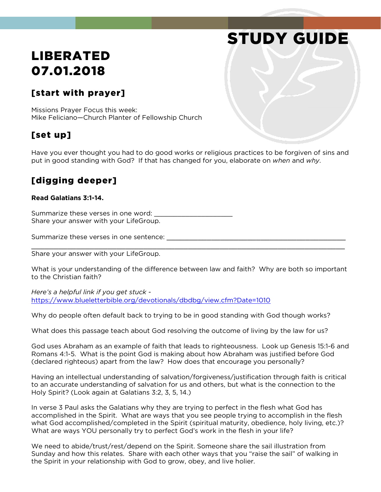# STUDY GUIDE

## LIBERATED 07.01.2018

#### [start with prayer]

Missions Prayer Focus this week: Mike Feliciano—Church Planter of Fellowship Church

#### [set up]

Have you ever thought you had to do good works or religious practices to be forgiven of sins and put in good standing with God? If that has changed for you, elaborate on *when* and *why*.

#### [digging deeper]

#### **Read Galatians 3:1-14.**

Summarize these verses in one word: Share your answer with your LifeGroup.

Summarize these verses in one sentence:

Share your answer with your LifeGroup.

What is your understanding of the difference between law and faith? Why are both so important to the Christian faith?

\_\_\_\_\_\_\_\_\_\_\_\_\_\_\_\_\_\_\_\_\_\_\_\_\_\_\_\_\_\_\_\_\_\_\_\_\_\_\_\_\_\_\_\_\_\_\_\_\_\_\_\_\_\_\_\_\_\_\_\_\_\_\_\_\_\_\_\_\_\_

*Here's a helpful link if you get stuck*  <https://www.blueletterbible.org/devotionals/dbdbg/view.cfm?Date=1010>

Why do people often default back to trying to be in good standing with God though works?

What does this passage teach about God resolving the outcome of living by the law for us?

God uses Abraham as an example of faith that leads to righteousness. Look up Genesis 15:1-6 and Romans 4:1-5. What is the point God is making about how Abraham was justified before God (declared righteous) apart from the law? How does that encourage you personally?

Having an intellectual understanding of salvation/forgiveness/justification through faith is critical to an accurate understanding of salvation for us and others, but what is the connection to the Holy Spirit? (Look again at Galatians 3:2, 3, 5, 14.)

In verse 3 Paul asks the Galatians why they are trying to perfect in the flesh what God has accomplished in the Spirit. What are ways that you see people trying to accomplish in the flesh what God accomplished/completed in the Spirit (spiritual maturity, obedience, holy living, etc.)? What are ways YOU personally try to perfect God's work in the flesh in your life?

We need to abide/trust/rest/depend on the Spirit. Someone share the sail illustration from Sunday and how this relates. Share with each other ways that you "raise the sail" of walking in the Spirit in your relationship with God to grow, obey, and live holier.